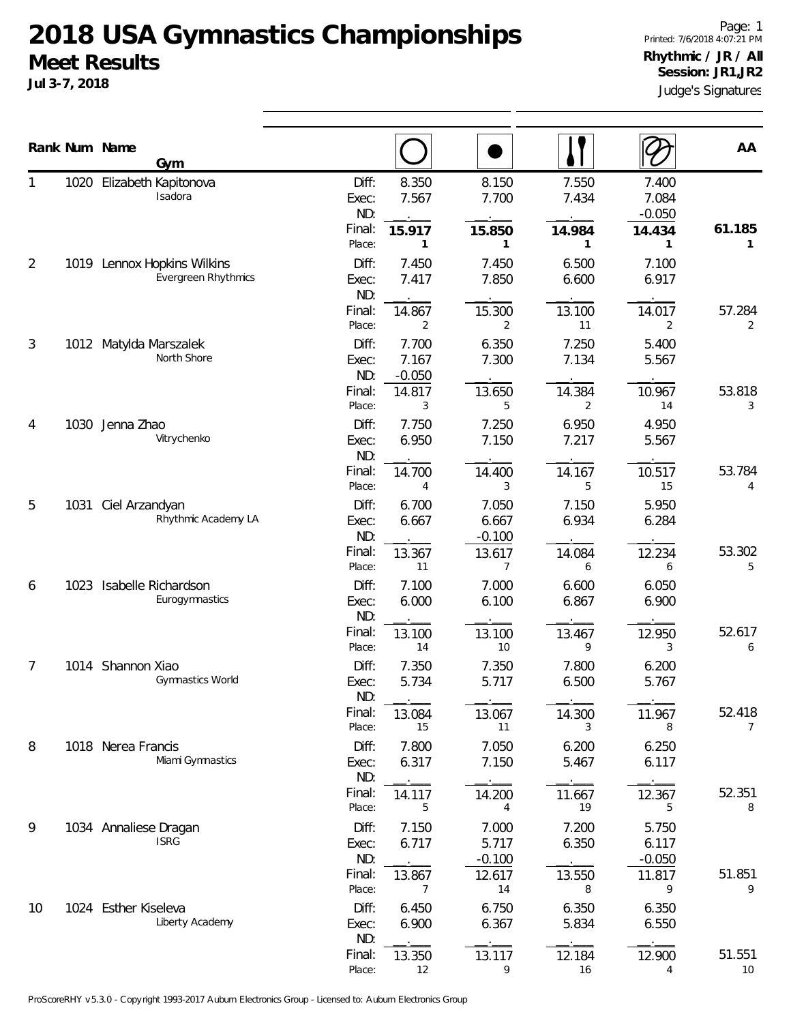## **2018 USA Gymnastics Championships Meet Results**

**Jul 3-7, 2018**

Judge's Signatures Page: 1 Printed: 7/6/2018 4:07:21 PM **Rhythmic / JR / All Session: JR1,JR2**

|    |      | Rank Num Name<br>Gym                                      |                                           |                                                        |                                           |                                         |                                            | AA                       |
|----|------|-----------------------------------------------------------|-------------------------------------------|--------------------------------------------------------|-------------------------------------------|-----------------------------------------|--------------------------------------------|--------------------------|
|    |      | 1020 Elizabeth Kapitonova<br>Isadora                      | Diff:<br>Exec:<br>ND:<br>Final:<br>Place: | 8.350<br>7.567<br>15.917<br>1                          | 8.150<br>7.700<br>15.850<br>1             | 7.550<br>7.434<br>14.984<br>1           | 7.400<br>7.084<br>$-0.050$<br>14.434<br>1  | 61.185<br>1              |
| 2  |      | 1019 Lennox Hopkins Wilkins<br><b>Evergreen Rhythmics</b> | Diff:<br>Exec:<br>ND:<br>Final:           | 7.450<br>7.417<br>14.867                               | 7.450<br>7.850<br>15.300                  | 6.500<br>6.600<br>13.100                | 7.100<br>6.917<br>14.017                   | 57.284                   |
| 3  |      | 1012 Matylda Marszalek<br>North Shore                     | Place:<br>Diff:<br>Exec:<br>ND:<br>Final: | $\overline{2}$<br>7.700<br>7.167<br>$-0.050$<br>14.817 | 2<br>6.350<br>7.300<br>13.650             | 11<br>7.250<br>7.134                    | $\overline{2}$<br>5.400<br>5.567<br>10.967 | $\overline{2}$<br>53.818 |
| 4  | 1030 | Jenna Zhao<br>Vitrychenko                                 | Place:<br>Diff:<br>Exec:<br>ND:<br>Final: | 3<br>7.750<br>6.950<br>14.700                          | 5<br>7.250<br>7.150<br>14.400             | 14.384<br>2<br>6.950<br>7.217<br>14.167 | 14<br>4.950<br>5.567<br>10.517             | 3<br>53.784              |
| 5  | 1031 | Ciel Arzandyan<br>Rhythmic Academy LA                     | Place:<br>Diff:<br>Exec:<br>ND:<br>Final: | 4<br>6.700<br>6.667<br>13.367                          | 3<br>7.050<br>6.667<br>$-0.100$<br>13.617 | 5<br>7.150<br>6.934<br>14.084           | 15<br>5.950<br>6.284<br>12.234             | 4<br>53.302              |
| 6  | 1023 | Isabelle Richardson<br>Eurogymnastics                     | Place:<br>Diff:<br>Exec:<br>ND:<br>Final: | 11<br>7.100<br>6.000<br>13.100                         | 7<br>7.000<br>6.100<br>13.100             | 6<br>6.600<br>6.867<br>13.467           | 6<br>6.050<br>6.900<br>12.950              | 5<br>52.617              |
| 7  |      | 1014 Shannon Xiao<br>Gymnastics World                     | Place:<br>Diff:<br>Exec:<br>ND:           | 14<br>7.350<br>5.734                                   | 10<br>7.350<br>5.717                      | 9<br>7.800<br>6.500                     | 3<br>6.200<br>5.767                        | 6                        |
| 8  |      | 1018 Nerea Francis<br>Miami Gymnastics                    | Final:<br>Place:<br>Diff:<br>Exec:<br>ND: | 13.084<br>15<br>7.800<br>6.317                         | 13.067<br>11<br>7.050<br>7.150            | 14.300<br>3<br>6.200<br>5.467           | 11.967<br>8<br>6.250<br>6.117              | 52.418<br>$\overline{7}$ |
| 9  |      | 1034 Annaliese Dragan<br><b>ISRG</b>                      | Final:<br>Place:<br>Diff:<br>Exec:<br>ND: | 14.117<br>5<br>7.150<br>6.717                          | 14.200<br>4<br>7.000<br>5.717<br>$-0.100$ | 11.667<br>19<br>7.200<br>6.350          | 12.367<br>5<br>5.750<br>6.117<br>$-0.050$  | 52.351<br>8              |
| 10 |      | 1024 Esther Kiseleva<br>Liberty Academy                   | Final:<br>Place:<br>Diff:<br>Exec:<br>ND: | 13.867<br>7<br>6.450<br>6.900                          | 12.617<br>14<br>6.750<br>6.367            | 13.550<br>8<br>6.350<br>5.834           | 11.817<br>9<br>6.350<br>6.550              | 51.851<br>9              |
|    |      |                                                           | Final:<br>Place:                          | 13.350<br>12                                           | 13.117<br>9                               | 12.184<br>16                            | 12.900<br>4                                | 51.551<br>10             |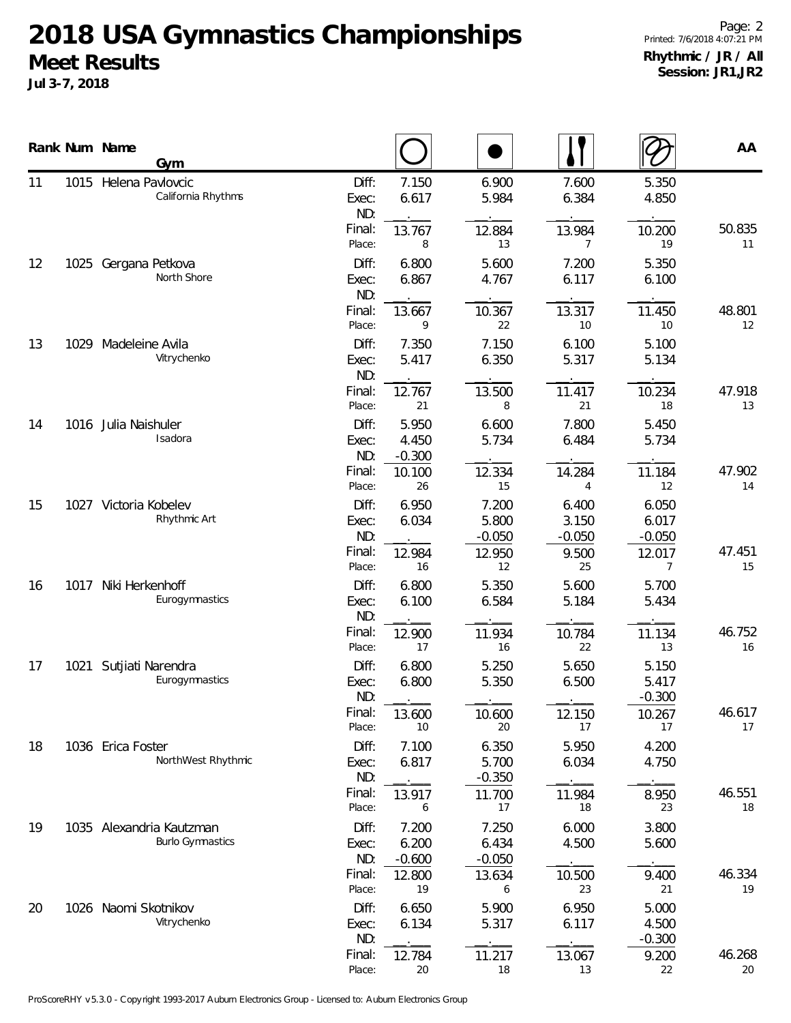## **2018 USA Gymnastics Championships Meet Results**

**Jul 3-7, 2018**

|    |      | Rank Num Name<br>Gym                                |                       |                            |                            |                            |                            | AA           |
|----|------|-----------------------------------------------------|-----------------------|----------------------------|----------------------------|----------------------------|----------------------------|--------------|
| 11 | 1015 | Helena Pavlovcic<br>California Rhythms              | Diff:<br>Exec:<br>ND: | 7.150<br>6.617             | 6.900<br>5.984             | 7.600<br>6.384             | 5.350<br>4.850             |              |
|    |      |                                                     | Final:<br>Place:      | 13.767<br>8                | 12.884<br>13               | 13.984<br>7                | 10.200<br>19               | 50.835<br>11 |
| 12 |      | 1025 Gergana Petkova<br>North Shore                 | Diff:<br>Exec:<br>ND: | 6.800<br>6.867             | 5.600<br>4.767             | 7.200<br>6.117             | 5.350<br>6.100             |              |
|    |      |                                                     | Final:<br>Place:      | 13.667<br>9                | 10.367<br>22               | 13.317<br>10               | 11.450<br>10               | 48.801<br>12 |
| 13 |      | 1029 Madeleine Avila<br>Vitrychenko                 | Diff:<br>Exec:<br>ND: | 7.350<br>5.417             | 7.150<br>6.350             | 6.100<br>5.317             | 5.100<br>5.134             |              |
|    |      |                                                     | Final:<br>Place:      | 12.767<br>21               | 13.500<br>8                | 11.417<br>21               | 10.234<br>18               | 47.918<br>13 |
| 14 |      | 1016 Julia Naishuler<br>Isadora                     | Diff:<br>Exec:<br>ND: | 5.950<br>4.450<br>$-0.300$ | 6.600<br>5.734             | 7.800<br>6.484             | 5.450<br>5.734             |              |
|    |      |                                                     | Final:<br>Place:      | 10.100<br>26               | 12.334<br>15               | 14.284<br>4                | 11.184<br>12               | 47.902<br>14 |
| 15 |      | 1027 Victoria Kobelev<br>Rhythmic Art               | Diff:<br>Exec:<br>ND: | 6.950<br>6.034             | 7.200<br>5.800<br>$-0.050$ | 6.400<br>3.150<br>$-0.050$ | 6.050<br>6.017<br>$-0.050$ |              |
|    |      |                                                     | Final:<br>Place:      | 12.984<br>16               | 12.950<br>12               | 9.500<br>25                | 12.017<br>7                | 47.451<br>15 |
| 16 | 1017 | Niki Herkenhoff<br>Eurogymnastics                   | Diff:<br>Exec:<br>ND: | 6.800<br>6.100             | 5.350<br>6.584             | 5.600<br>5.184             | 5.700<br>5.434             |              |
|    |      |                                                     | Final:<br>Place:      | 12.900<br>17               | 11.934<br>16               | 10.784<br>22               | 11.134<br>13               | 46.752<br>16 |
| 17 | 1021 | Sutjiati Narendra<br>Eurogymnastics                 | Diff:<br>Exec:<br>ND: | 6.800<br>6.800             | 5.250<br>5.350             | 5.650<br>6.500             | 5.150<br>5.417<br>$-0.300$ |              |
|    |      |                                                     | Final:<br>Place:      | 13.600<br>10               | 10.600<br>20               | 12.150<br>17               | 10.267<br>17               | 46.617<br>17 |
| 18 |      | 1036 Erica Foster<br>NorthWest Rhythmic             | Diff:<br>Exec:<br>ND: | 7.100<br>6.817             | 6.350<br>5.700<br>$-0.350$ | 5.950<br>6.034             | 4.200<br>4.750             |              |
|    |      |                                                     | Final:<br>Place:      | 13.917<br>6                | 11.700<br>17               | 11.984<br>18               | 8.950<br>23                | 46.551<br>18 |
| 19 |      | 1035 Alexandria Kautzman<br><b>Burlo Gymnastics</b> | Diff:<br>Exec:<br>ND: | 7.200<br>6.200<br>$-0.600$ | 7.250<br>6.434<br>$-0.050$ | 6.000<br>4.500             | 3.800<br>5.600             |              |
|    |      |                                                     | Final:<br>Place:      | 12.800<br>19               | 13.634<br>6                | 10.500<br>23               | 9.400<br>21                | 46.334<br>19 |
| 20 |      | 1026 Naomi Skotnikov<br>Vitrychenko                 | Diff:<br>Exec:<br>ND: | 6.650<br>6.134             | 5.900<br>5.317             | 6.950<br>6.117             | 5.000<br>4.500<br>$-0.300$ |              |
|    |      |                                                     | Final:<br>Place:      | 12.784<br>20               | 11.217<br>18               | 13.067<br>13               | 9.200<br>22                | 46.268<br>20 |